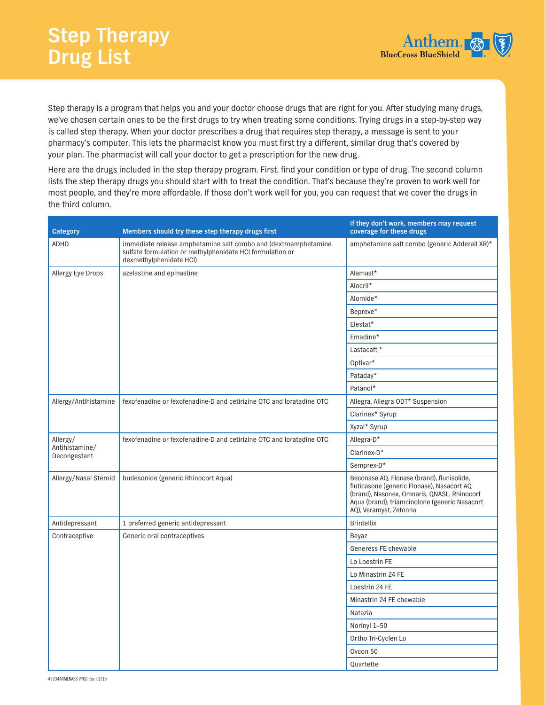

Step therapy is a program that helps you and your doctor choose drugs that are right for you. After studying many drugs, we've chosen certain ones to be the first drugs to try when treating some conditions. Trying drugs in a step-by-step way is called step therapy. When your doctor prescribes a drug that requires step therapy, a message is sent to your pharmacy's computer. This lets the pharmacist know you must first try a different, similar drug that's covered by your plan. The pharmacist will call your doctor to get a prescription for the new drug.

Here are the drugs included in the step therapy program. First, find your condition or type of drug. The second column lists the step therapy drugs you should start with to treat the condition. That's because they're proven to work well for most people, and they're more affordable. If those don't work well for you, you can request that we cover the drugs in the third column.

| <b>Category</b>                            | Members should try these step therapy drugs first                                                                                                       | If they don't work, members may request<br>coverage for these drugs                                                                                                                                                |
|--------------------------------------------|---------------------------------------------------------------------------------------------------------------------------------------------------------|--------------------------------------------------------------------------------------------------------------------------------------------------------------------------------------------------------------------|
| ADHD                                       | immediate release amphetamine salt combo and (dextroamphetamine<br>sulfate formulation or methylphenidate HCI formulation or<br>dexmethylphenidate HCl) | amphetamine salt combo (generic Adderall XR)*                                                                                                                                                                      |
| Allergy Eye Drops                          | azelastine and epinastine                                                                                                                               | Alamast*                                                                                                                                                                                                           |
|                                            |                                                                                                                                                         | Alocril*                                                                                                                                                                                                           |
|                                            |                                                                                                                                                         | Alomide*                                                                                                                                                                                                           |
|                                            |                                                                                                                                                         | Bepreve*                                                                                                                                                                                                           |
|                                            |                                                                                                                                                         | Elestat*                                                                                                                                                                                                           |
|                                            |                                                                                                                                                         | Emadine*                                                                                                                                                                                                           |
|                                            |                                                                                                                                                         | Lastacaft *                                                                                                                                                                                                        |
|                                            |                                                                                                                                                         | Optivar*                                                                                                                                                                                                           |
|                                            |                                                                                                                                                         | Pataday*                                                                                                                                                                                                           |
|                                            |                                                                                                                                                         | Patanol*                                                                                                                                                                                                           |
| Allergy/Antihistamine                      | fexofenadine or fexofenadine-D and cetirizine OTC and loratadine OTC                                                                                    | Allegra, Allegra ODT* Suspension                                                                                                                                                                                   |
|                                            |                                                                                                                                                         | Clarinex* Syrup                                                                                                                                                                                                    |
|                                            |                                                                                                                                                         | Xyzal* Syrup                                                                                                                                                                                                       |
| Allergy/<br>Antihistamine/<br>Decongestant | fexofenadine or fexofenadine-D and cetirizine OTC and loratadine OTC                                                                                    | Allegra-D*                                                                                                                                                                                                         |
|                                            |                                                                                                                                                         | Clarinex-D*                                                                                                                                                                                                        |
|                                            |                                                                                                                                                         | Semprex-D*                                                                                                                                                                                                         |
| Allergy/Nasal Steroid                      | budesonide (generic Rhinocort Aqua)                                                                                                                     | Beconase AQ, Flonase (brand), flunisolide,<br>fluticasone (generic Flonase), Nasacort AQ<br>(brand), Nasonex, Omnaris, QNASL, Rhinocort<br>Aqua (brand), triamcinolone (generic Nasacort<br>AQ), Veramyst, Zetonna |
| Antidepressant                             | 1 preferred generic antidepressant                                                                                                                      | <b>Brintellix</b>                                                                                                                                                                                                  |
| Contraceptive                              | Generic oral contraceptives                                                                                                                             | Beyaz                                                                                                                                                                                                              |
|                                            |                                                                                                                                                         | Generess FE chewable                                                                                                                                                                                               |
|                                            |                                                                                                                                                         | Lo Loestrin FE                                                                                                                                                                                                     |
|                                            |                                                                                                                                                         | Lo Minastrin 24 FE                                                                                                                                                                                                 |
|                                            |                                                                                                                                                         | Loestrin 24 FE                                                                                                                                                                                                     |
|                                            |                                                                                                                                                         | Minastrin 24 FE chewable                                                                                                                                                                                           |
|                                            |                                                                                                                                                         | Natazia                                                                                                                                                                                                            |
|                                            |                                                                                                                                                         | Norinyl 1+50                                                                                                                                                                                                       |
|                                            |                                                                                                                                                         | Ortho Tri-Cyclen Lo                                                                                                                                                                                                |
|                                            |                                                                                                                                                         | Ovcon 50                                                                                                                                                                                                           |
|                                            |                                                                                                                                                         | Quartette                                                                                                                                                                                                          |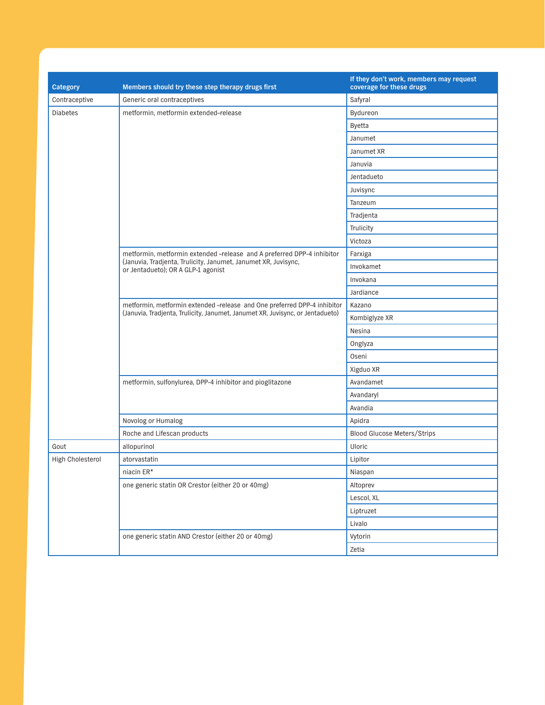| Category                | Members should try these step therapy drugs first                                                                                                         | If they don't work, members may request<br>coverage for these drugs |
|-------------------------|-----------------------------------------------------------------------------------------------------------------------------------------------------------|---------------------------------------------------------------------|
| Contraceptive           | Generic oral contraceptives                                                                                                                               | Safyral                                                             |
| <b>Diabetes</b>         | metformin, metformin extended-release                                                                                                                     | Bydureon                                                            |
|                         |                                                                                                                                                           | <b>Byetta</b>                                                       |
|                         |                                                                                                                                                           | Janumet                                                             |
|                         |                                                                                                                                                           | Janumet XR                                                          |
|                         |                                                                                                                                                           | Januvia                                                             |
|                         |                                                                                                                                                           | Jentadueto                                                          |
|                         |                                                                                                                                                           | Juvisync                                                            |
|                         |                                                                                                                                                           | Tanzeum                                                             |
|                         |                                                                                                                                                           | Tradjenta                                                           |
|                         |                                                                                                                                                           | Trulicity                                                           |
|                         |                                                                                                                                                           | Victoza                                                             |
|                         | metformin, metformin extended -release and A preferred DPP-4 inhibitor                                                                                    | Farxiga                                                             |
|                         | (Januvia, Tradjenta, Trulicity, Janumet, Janumet XR, Juvisync,<br>or Jentadueto); OR A GLP-1 agonist                                                      | Invokamet                                                           |
|                         |                                                                                                                                                           | Invokana                                                            |
|                         |                                                                                                                                                           | Jardiance                                                           |
|                         | metformin, metformin extended -release and One preferred DPP-4 inhibitor<br>(Januvia, Tradjenta, Trulicity, Janumet, Janumet XR, Juvisync, or Jentadueto) | Kazano                                                              |
|                         |                                                                                                                                                           | Kombiglyze XR                                                       |
|                         |                                                                                                                                                           | Nesina                                                              |
|                         |                                                                                                                                                           | Onglyza                                                             |
|                         |                                                                                                                                                           | <b>Oseni</b>                                                        |
|                         |                                                                                                                                                           | Xigduo XR                                                           |
|                         | metformin, sulfonylurea, DPP-4 inhibitor and pioglitazone                                                                                                 | Avandamet                                                           |
|                         |                                                                                                                                                           | Avandaryl                                                           |
|                         |                                                                                                                                                           | Avandia                                                             |
|                         | Novolog or Humalog                                                                                                                                        | Apidra                                                              |
|                         | Roche and Lifescan products                                                                                                                               | <b>Blood Glucose Meters/Strips</b>                                  |
| Gout                    | allopurinol                                                                                                                                               | Uloric                                                              |
| <b>High Cholesterol</b> | atorvastatin                                                                                                                                              | Lipitor                                                             |
|                         | niacin ER*                                                                                                                                                | Niaspan                                                             |
|                         | one generic statin OR Crestor (either 20 or 40mg)                                                                                                         | Altoprev                                                            |
|                         |                                                                                                                                                           | Lescol, XL                                                          |
|                         |                                                                                                                                                           | Liptruzet                                                           |
|                         |                                                                                                                                                           | Livalo                                                              |
|                         | one generic statin AND Crestor (either 20 or 40mg)                                                                                                        | Vytorin                                                             |
|                         |                                                                                                                                                           | Zetia                                                               |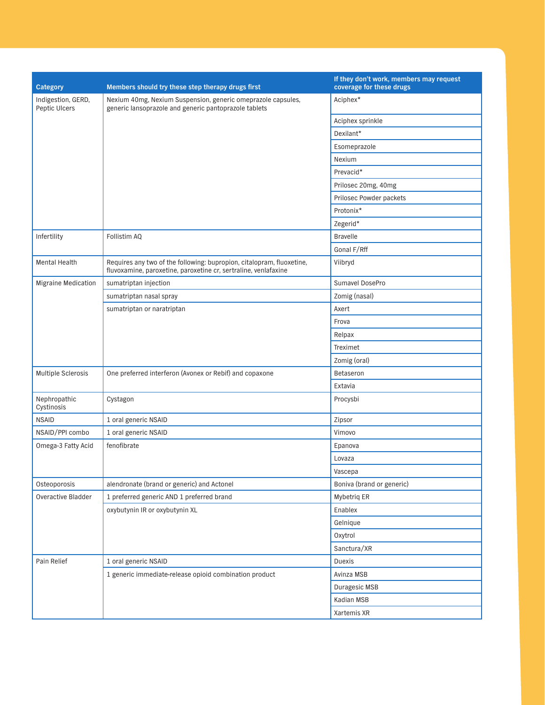| <b>Category</b>                     | Members should try these step therapy drugs first                                                                                        | If they don't work, members may request<br>coverage for these drugs |
|-------------------------------------|------------------------------------------------------------------------------------------------------------------------------------------|---------------------------------------------------------------------|
| Indigestion, GERD,<br>Peptic Ulcers | Nexium 40mg, Nexium Suspension, generic omeprazole capsules,<br>generic lansoprazole and generic pantoprazole tablets                    | Aciphex*                                                            |
|                                     |                                                                                                                                          | Aciphex sprinkle                                                    |
|                                     |                                                                                                                                          | Dexilant*                                                           |
|                                     |                                                                                                                                          | Esomeprazole                                                        |
|                                     |                                                                                                                                          | Nexium                                                              |
|                                     |                                                                                                                                          | Prevacid*                                                           |
|                                     |                                                                                                                                          | Prilosec 20mg, 40mg                                                 |
|                                     |                                                                                                                                          | Prilosec Powder packets                                             |
|                                     |                                                                                                                                          | Protonix*                                                           |
|                                     |                                                                                                                                          | Zegerid*                                                            |
| Infertility                         | Follistim AQ                                                                                                                             | <b>Bravelle</b>                                                     |
|                                     |                                                                                                                                          | Gonal F/Rff                                                         |
| <b>Mental Health</b>                | Requires any two of the following: bupropion, citalopram, fluoxetine,<br>fluvoxamine, paroxetine, paroxetine cr, sertraline, venlafaxine | Viibryd                                                             |
| <b>Migraine Medication</b>          | sumatriptan injection                                                                                                                    | Sumavel DosePro                                                     |
|                                     | sumatriptan nasal spray                                                                                                                  | Zomig (nasal)                                                       |
|                                     | sumatriptan or naratriptan                                                                                                               | Axert                                                               |
|                                     |                                                                                                                                          | Frova                                                               |
|                                     |                                                                                                                                          | Relpax                                                              |
|                                     |                                                                                                                                          | Treximet                                                            |
|                                     |                                                                                                                                          | Zomig (oral)                                                        |
| Multiple Sclerosis                  | One preferred interferon (Avonex or Rebif) and copaxone                                                                                  | Betaseron                                                           |
|                                     |                                                                                                                                          | Extavia                                                             |
| Nephropathic<br>Cystinosis          | Cystagon                                                                                                                                 | Procysbi                                                            |
| <b>NSAID</b>                        | 1 oral generic NSAID                                                                                                                     | Zipsor                                                              |
| NSAID/PPI combo                     | 1 oral generic NSAID                                                                                                                     | Vimovo                                                              |
| Omega-3 Fatty Acid                  | fenofibrate                                                                                                                              | Epanova                                                             |
|                                     |                                                                                                                                          | Lovaza                                                              |
|                                     |                                                                                                                                          | Vascepa                                                             |
| Osteoporosis                        | alendronate (brand or generic) and Actonel                                                                                               | Boniva (brand or generic)                                           |
| Overactive Bladder                  | 1 preferred generic AND 1 preferred brand                                                                                                | Mybetriq ER                                                         |
|                                     | oxybutynin IR or oxybutynin XL                                                                                                           | Enablex                                                             |
|                                     |                                                                                                                                          | Gelnique                                                            |
|                                     |                                                                                                                                          | Oxytrol                                                             |
|                                     |                                                                                                                                          | Sanctura/XR                                                         |
| Pain Relief                         | 1 oral generic NSAID                                                                                                                     | Duexis                                                              |
|                                     | 1 generic immediate-release opioid combination product                                                                                   | Avinza MSB                                                          |
|                                     |                                                                                                                                          | Duragesic MSB                                                       |
|                                     |                                                                                                                                          | Kadian MSB                                                          |
|                                     |                                                                                                                                          | Xartemis XR                                                         |